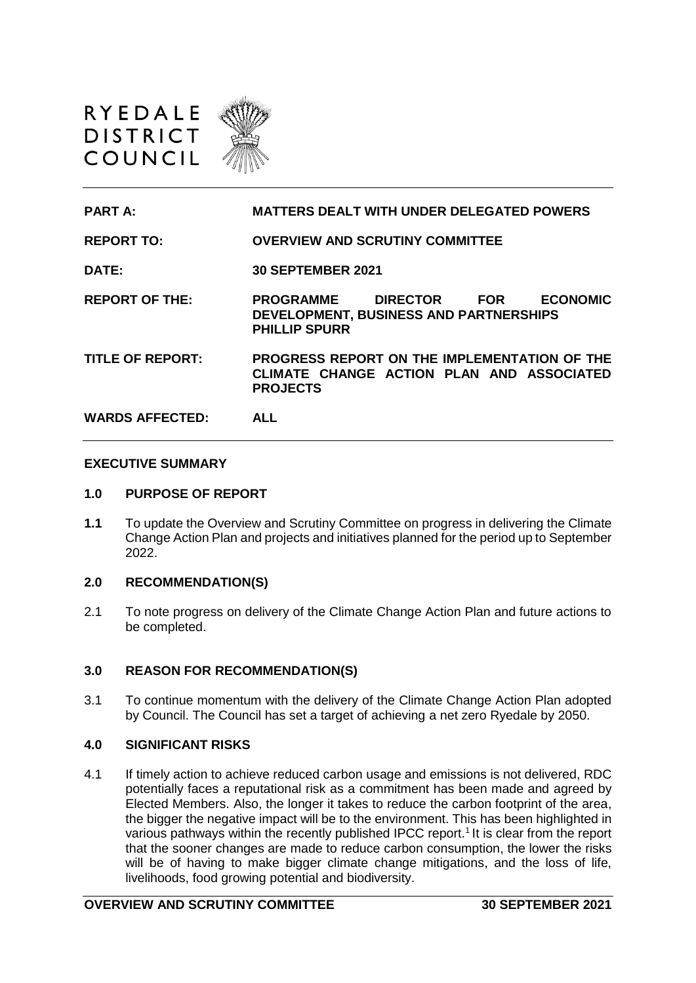



**REPORT TO: OVERVIEW AND SCRUTINY COMMITTEE DATE: 30 SEPTEMBER 2021**

**REPORT OF THE: PROGRAMME DIRECTOR FOR ECONOMIC DEVELOPMENT, BUSINESS AND PARTNERSHIPS PHILLIP SPURR**

**TITLE OF REPORT: PROGRESS REPORT ON THE IMPLEMENTATION OF THE CLIMATE CHANGE ACTION PLAN AND ASSOCIATED PROJECTS**

**WARDS AFFECTED: ALL** 

## **EXECUTIVE SUMMARY**

#### **1.0 PURPOSE OF REPORT**

**1.1** To update the Overview and Scrutiny Committee on progress in delivering the Climate Change Action Plan and projects and initiatives planned for the period up to September 2022.

#### **2.0 RECOMMENDATION(S)**

2.1 To note progress on delivery of the Climate Change Action Plan and future actions to be completed.

## **3.0 REASON FOR RECOMMENDATION(S)**

3.1 To continue momentum with the delivery of the Climate Change Action Plan adopted by Council. The Council has set a target of achieving a net zero Ryedale by 2050.

#### **4.0 SIGNIFICANT RISKS**

4.1 If timely action to achieve reduced carbon usage and emissions is not delivered, RDC potentially faces a reputational risk as a commitment has been made and agreed by Elected Members. Also, the longer it takes to reduce the carbon footprint of the area, the bigger the negative impact will be to the environment. This has been highlighted in various pathways within the recently published IPCC report.<sup>1</sup> It is clear from the report that the sooner changes are made to reduce carbon consumption, the lower the risks will be of having to make bigger climate change mitigations, and the loss of life, livelihoods, food growing potential and biodiversity.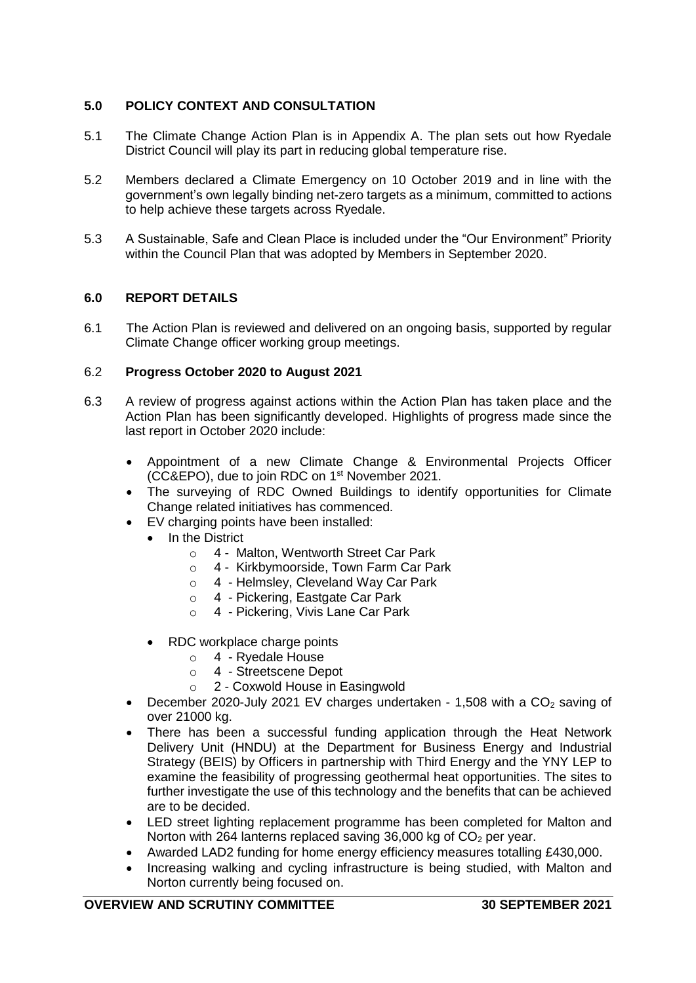# **5.0 POLICY CONTEXT AND CONSULTATION**

- 5.1 The Climate Change Action Plan is in Appendix A. The plan sets out how Ryedale District Council will play its part in reducing global temperature rise.
- 5.2 Members declared a Climate Emergency on 10 October 2019 and in line with the government's own legally binding net-zero targets as a minimum, committed to actions to help achieve these targets across Ryedale.
- 5.3 A Sustainable, Safe and Clean Place is included under the "Our Environment" Priority within the Council Plan that was adopted by Members in September 2020.

## **6.0 REPORT DETAILS**

6.1 The Action Plan is reviewed and delivered on an ongoing basis, supported by regular Climate Change officer working group meetings.

## 6.2 **Progress October 2020 to August 2021**

- 6.3 A review of progress against actions within the Action Plan has taken place and the Action Plan has been significantly developed. Highlights of progress made since the last report in October 2020 include:
	- Appointment of a new Climate Change & Environmental Projects Officer (CC&EPO), due to join RDC on 1 st November 2021.
	- The surveying of RDC Owned Buildings to identify opportunities for Climate Change related initiatives has commenced.
	- EV charging points have been installed:
		- In the District
			- o 4 Malton, Wentworth Street Car Park
			- o 4 Kirkbymoorside, Town Farm Car Park
			- o 4 Helmsley, Cleveland Way Car Park
			- o 4 Pickering, Eastgate Car Park
			- o 4 Pickering, Vivis Lane Car Park
		- RDC workplace charge points
			- o 4 Ryedale House
			- o 4 Streetscene Depot
			- o 2 Coxwold House in Easingwold
	- December 2020-July 2021 EV charges undertaken 1,508 with a  $CO<sub>2</sub>$  saving of over 21000 kg.
	- There has been a successful funding application through the Heat Network Delivery Unit (HNDU) at the Department for Business Energy and Industrial Strategy (BEIS) by Officers in partnership with Third Energy and the YNY LEP to examine the feasibility of progressing geothermal heat opportunities. The sites to further investigate the use of this technology and the benefits that can be achieved are to be decided.
	- LED street lighting replacement programme has been completed for Malton and Norton with 264 lanterns replaced saving 36,000 kg of  $CO<sub>2</sub>$  per year.
	- Awarded LAD2 funding for home energy efficiency measures totalling £430,000.
	- Increasing walking and cycling infrastructure is being studied, with Malton and Norton currently being focused on.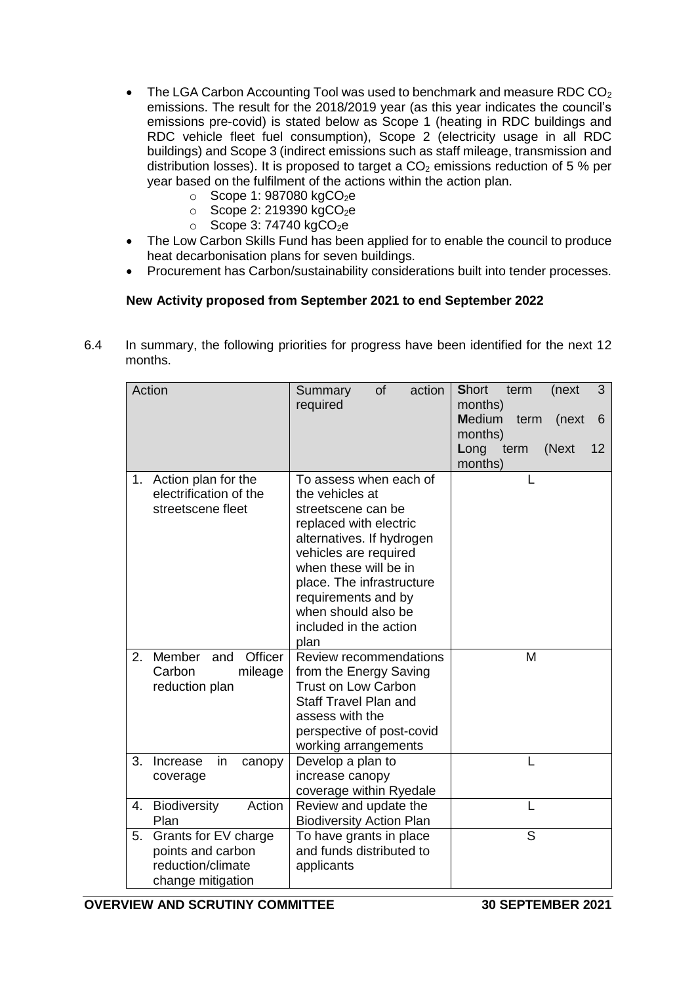- The LGA Carbon Accounting Tool was used to benchmark and measure RDC CO<sub>2</sub> emissions. The result for the 2018/2019 year (as this year indicates the council's emissions pre-covid) is stated below as Scope 1 (heating in RDC buildings and RDC vehicle fleet fuel consumption), Scope 2 (electricity usage in all RDC buildings) and Scope 3 (indirect emissions such as staff mileage, transmission and distribution losses). It is proposed to target a  $CO<sub>2</sub>$  emissions reduction of 5 % per year based on the fulfilment of the actions within the action plan.
	- $\circ$  Scope 1: 987080 kgCO<sub>2</sub>e
	- $\circ$  Scope 2: 219390 kgCO<sub>2</sub>e
	- $\circ$  Scope 3: 74740 kgCO<sub>2</sub>e
- The Low Carbon Skills Fund has been applied for to enable the council to produce heat decarbonisation plans for seven buildings.
- Procurement has Carbon/sustainability considerations built into tender processes.

# **New Activity proposed from September 2021 to end September 2022**

6.4 In summary, the following priorities for progress have been identified for the next 12 months.

| Action                              | action<br>of<br>Summary<br>required            | <b>Short</b><br>(next<br>term<br>3<br>months) |
|-------------------------------------|------------------------------------------------|-----------------------------------------------|
|                                     |                                                | <b>Medium</b><br>term<br>(next<br>6           |
|                                     |                                                | months)                                       |
|                                     |                                                | (Next<br>Long term<br>12                      |
|                                     |                                                | months)                                       |
| Action plan for the<br>1.           | To assess when each of                         | L                                             |
| electrification of the              | the vehicles at                                |                                               |
| streetscene fleet                   | streetscene can be                             |                                               |
|                                     | replaced with electric                         |                                               |
|                                     | alternatives. If hydrogen                      |                                               |
|                                     | vehicles are required<br>when these will be in |                                               |
|                                     | place. The infrastructure                      |                                               |
|                                     | requirements and by                            |                                               |
|                                     | when should also be                            |                                               |
|                                     | included in the action                         |                                               |
|                                     | plan                                           |                                               |
| Member<br>Officer<br>2.<br>and      | Review recommendations                         | M                                             |
| Carbon<br>mileage                   | from the Energy Saving                         |                                               |
| reduction plan                      | <b>Trust on Low Carbon</b>                     |                                               |
|                                     | Staff Travel Plan and                          |                                               |
|                                     | assess with the                                |                                               |
|                                     | perspective of post-covid                      |                                               |
| 3.<br>Increase                      | working arrangements                           | L                                             |
| in<br>canopy                        | Develop a plan to<br>increase canopy           |                                               |
| coverage                            | coverage within Ryedale                        |                                               |
| Action<br><b>Biodiversity</b><br>4. | Review and update the                          |                                               |
| Plan                                | <b>Biodiversity Action Plan</b>                |                                               |
| Grants for EV charge<br>5.          | To have grants in place                        | S                                             |
| points and carbon                   | and funds distributed to                       |                                               |
| reduction/climate                   | applicants                                     |                                               |
| change mitigation                   |                                                |                                               |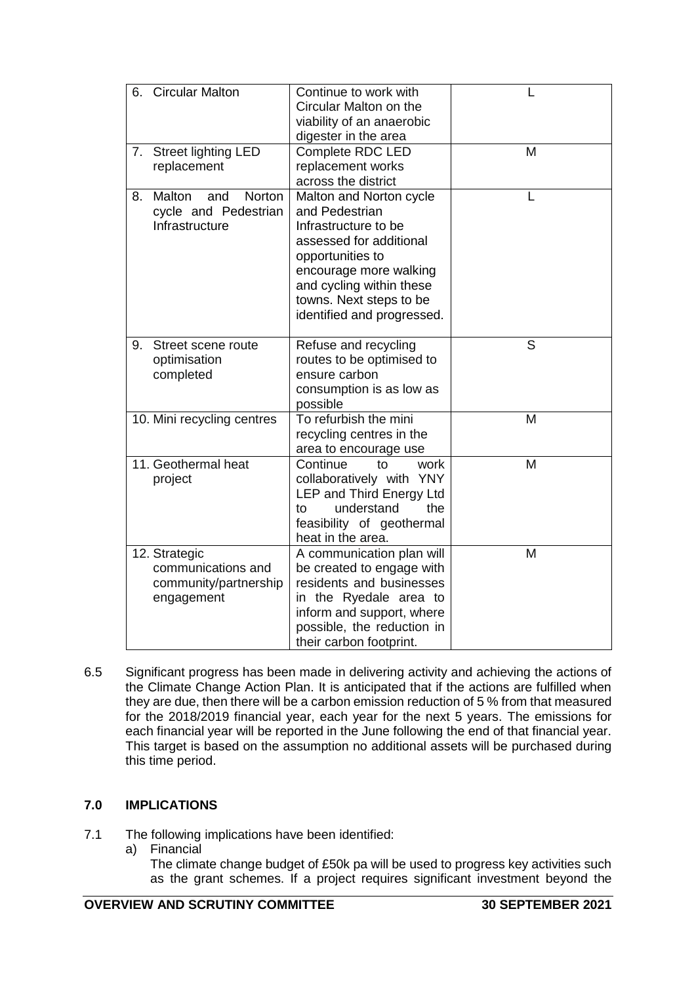| 6. | <b>Circular Malton</b>                                                     | Continue to work with<br>Circular Malton on the<br>viability of an anaerobic<br>digester in the area                                                                                                                            |   |
|----|----------------------------------------------------------------------------|---------------------------------------------------------------------------------------------------------------------------------------------------------------------------------------------------------------------------------|---|
| 7. | <b>Street lighting LED</b><br>replacement                                  | Complete RDC LED<br>replacement works<br>across the district                                                                                                                                                                    | M |
| 8. | Malton<br>Norton<br>and<br>cycle and Pedestrian<br>Infrastructure          | Malton and Norton cycle<br>and Pedestrian<br>Infrastructure to be<br>assessed for additional<br>opportunities to<br>encourage more walking<br>and cycling within these<br>towns. Next steps to be<br>identified and progressed. | L |
| 9. | Street scene route<br>optimisation<br>completed                            | Refuse and recycling<br>routes to be optimised to<br>ensure carbon<br>consumption is as low as<br>possible                                                                                                                      | S |
|    | 10. Mini recycling centres                                                 | To refurbish the mini<br>recycling centres in the<br>area to encourage use                                                                                                                                                      | M |
|    | 11. Geothermal heat<br>project                                             | Continue<br>to<br>work<br>collaboratively with YNY<br>LEP and Third Energy Ltd<br>understand<br>the<br>to<br>feasibility of geothermal<br>heat in the area.                                                                     | M |
|    | 12. Strategic<br>communications and<br>community/partnership<br>engagement | A communication plan will<br>be created to engage with<br>residents and businesses<br>in the Ryedale area to<br>inform and support, where<br>possible, the reduction in<br>their carbon footprint.                              | M |

6.5 Significant progress has been made in delivering activity and achieving the actions of the Climate Change Action Plan. It is anticipated that if the actions are fulfilled when they are due, then there will be a carbon emission reduction of 5 % from that measured for the 2018/2019 financial year, each year for the next 5 years. The emissions for each financial year will be reported in the June following the end of that financial year. This target is based on the assumption no additional assets will be purchased during this time period.

# **7.0 IMPLICATIONS**

- 7.1 The following implications have been identified:
	- a) Financial

The climate change budget of £50k pa will be used to progress key activities such as the grant schemes. If a project requires significant investment beyond the